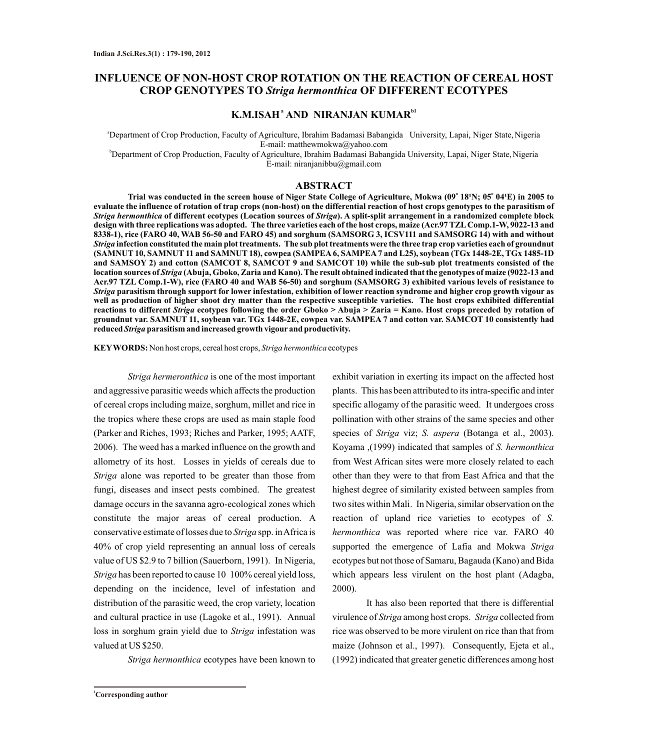# **INFLUENCE OF NON-HOST CROP ROTATION ON THE REACTION OF CEREAL HOST CROP GENOTYPES TO** *Striga hermonthica* **OF DIFFERENT ECOTYPES**

# **K.M.ISAH<sup>ª</sup> AND NIRANJAN KUMAR<sup>b1</sup>**

<sup>a</sup>Department of Crop Production, Faculty of Agriculture, Ibrahim Badamasi Babangida University, Lapai, Niger State,Nigeria E-mail: matthewmokwa@yahoo.com

<sup>b</sup>Department of Crop Production, Faculty of Agriculture, Ibrahim Badamasi Babangida University, Lapai, Niger State, Nigeria E-mail: niranjanibbu@gmail.com

#### **ABSTRACT**

Trial was conducted in the screen house of Niger State College of Agriculture, Mokwa (09° 18'N; 05° 04'E) in 2005 to **evaluate the influence of rotation of trap crops (non-host) on the differential reaction of host crops genotypes to the parasitism of**  *Striga hermonthica* **of different ecotypes (Location sources of** *Striga***). A split-split arrangement in a randomized complete block design with three replications was adopted. The three varieties each of the host crops, maize (Acr.97 TZLComp.1-W, 9022-13 and 8338-1), rice (FARO 40, WAB 56-50 and FARO 45) and sorghum (SAMSORG 3, ICSV111 and SAMSORG 14) with and without**  *Striga* **infection constituted the main plot treatments. The sub plot treatments were the three trap crop varieties each of groundnut (SAMNUT 10, SAMNUT 11 and SAMNUT 18), cowpea (SAMPEA6, SAMPEA7 and L25), soybean (TGx 1448-2E, TGx 1485-1D and SAMSOY 2) and cotton (SAMCOT 8, SAMCOT 9 and SAMCOT 10) while the sub-sub plot treatments consisted of the location sources of** *Striga* **(Abuja, Gboko, Zaria and Kano). The result obtained indicated that the genotypes of maize (9022-13 and Acr.97 TZL Comp.1-W), rice (FARO 40 and WAB 56-50) and sorghum (SAMSORG 3) exhibited various levels of resistance to**  *Striga* **parasitism through support for lower infestation, exhibition of lower reaction syndrome and higher crop growth vigour as well as production of higher shoot dry matter than the respective susceptible varieties. The host crops exhibited differential reactions to different** *Striga* **ecotypes following the order Gboko > Abuja > Zaria = Kano. Host crops preceded by rotation of groundnut var. SAMNUT 11, soybean var. TGx 1448-2E, cowpea var. SAMPEA 7 and cotton var. SAMCOT 10 consistently had reduced** *Striga* **parasitism and increased growth vigour and productivity.**

**KEYWORDS:** Non host crops, cereal host crops, *Striga hermonthica* ecotypes

*Striga hermeronthica* is one of the most important and aggressive parasitic weeds which affects the production of cereal crops including maize, sorghum, millet and rice in the tropics where these crops are used as main staple food (Parker and Riches, 1993; Riches and Parker, 1995; AATF, 2006). The weed has a marked influence on the growth and allometry of its host. Losses in yields of cereals due to *Striga* alone was reported to be greater than those from fungi, diseases and insect pests combined. The greatest damage occurs in the savanna agro-ecological zones which constitute the major areas of cereal production. A conservative estimate of losses due to *Striga* spp. in Africa is 40% of crop yield representing an annual loss of cereals value of US \$2.9 to 7 billion (Sauerborn, 1991). In Nigeria, *Striga* has been reported to cause 10 100% cereal yield loss, depending on the incidence, level of infestation and distribution of the parasitic weed, the crop variety, location and cultural practice in use (Lagoke et al., 1991). Annual loss in sorghum grain yield due to *Striga* infestation was valued at US \$250.

*Striga hermonthica* ecotypes have been known to

exhibit variation in exerting its impact on the affected host plants. This has been attributed to its intra-specific and inter specific allogamy of the parasitic weed. It undergoes cross pollination with other strains of the same species and other species of *Striga* viz; *S. aspera* (Botanga et al., 2003). Koyama ,(1999) indicated that samples of *S. hermonthica* from West African sites were more closely related to each other than they were to that from East Africa and that the highest degree of similarity existed between samples from two sites within Mali. In Nigeria, similar observation on the reaction of upland rice varieties to ecotypes of *S. hermonthica* was reported where rice var. FARO 40 supported the emergence of Lafia and Mokwa *Striga* ecotypes but not those of Samaru, Bagauda (Kano) and Bida which appears less virulent on the host plant (Adagba, 2000).

It has also been reported that there is differential virulence of *Striga* among host crops. *Striga* collected from rice was observed to be more virulent on rice than that from maize (Johnson et al., 1997). Consequently, Ejeta et al., (1992) indicated that greater genetic differences among host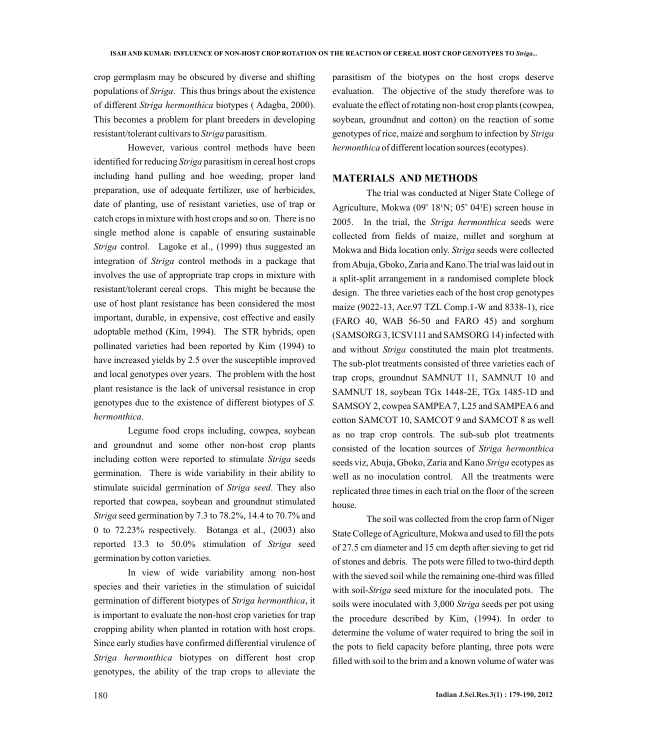crop germplasm may be obscured by diverse and shifting populations of *Striga*. This thus brings about the existence of different *Striga hermonthica* biotypes ( Adagba, 2000). This becomes a problem for plant breeders in developing resistant/tolerant cultivars to *Striga* parasitism.

However, various control methods have been identified for reducing *Striga* parasitism in cereal host crops including hand pulling and hoe weeding, proper land preparation, use of adequate fertilizer, use of herbicides, date of planting, use of resistant varieties, use of trap or catch crops in mixture with host crops and so on. There is no single method alone is capable of ensuring sustainable *Striga* control. Lagoke et al., (1999) thus suggested an integration of *Striga* control methods in a package that involves the use of appropriate trap crops in mixture with resistant/tolerant cereal crops. This might be because the use of host plant resistance has been considered the most important, durable, in expensive, cost effective and easily adoptable method (Kim, 1994). The STR hybrids, open pollinated varieties had been reported by Kim (1994) to have increased yields by 2.5 over the susceptible improved and local genotypes over years. The problem with the host plant resistance is the lack of universal resistance in crop genotypes due to the existence of different biotypes of *S. hermonthica*.

Legume food crops including, cowpea, soybean and groundnut and some other non-host crop plants including cotton were reported to stimulate *Striga* seeds germination. There is wide variability in their ability to stimulate suicidal germination of *Striga seed*. They also reported that cowpea, soybean and groundnut stimulated *Striga* seed germination by 7.3 to 78.2%, 14.4 to 70.7% and 0 to 72.23% respectively. Botanga et al., (2003) also reported 13.3 to 50.0% stimulation of *Striga* seed germination by cotton varieties.

In view of wide variability among non-host species and their varieties in the stimulation of suicidal germination of different biotypes of *Striga hermonthica*, it is important to evaluate the non-host crop varieties for trap cropping ability when planted in rotation with host crops. Since early studies have confirmed differential virulence of *Striga hermonthica* biotypes on different host crop genotypes, the ability of the trap crops to alleviate the

parasitism of the biotypes on the host crops deserve evaluation. The objective of the study therefore was to evaluate the effect of rotating non-host crop plants (cowpea, soybean, groundnut and cotton) on the reaction of some genotypes of rice, maize and sorghum to infection by *Striga hermonthica* of different location sources (ecotypes).

# **MATERIALS AND METHODS**

The trial was conducted at Niger State College of Agriculture, Mokwa (09 $^{\circ}$  18<sup>1</sup>N; 05 $^{\circ}$  04<sup>1</sup>E) screen house in 2005. In the trial, the *Striga hermonthica* seeds were collected from fields of maize, millet and sorghum at Mokwa and Bida location only. *Striga* seeds were collected from Abuja, Gboko, Zaria and Kano.The trial was laid out in a split-split arrangement in a randomised complete block design. The three varieties each of the host crop genotypes maize (9022-13, Acr.97 TZL Comp.1-W and 8338-1), rice (FARO 40, WAB 56-50 and FARO 45) and sorghum (SAMSORG 3, ICSV111 and SAMSORG 14) infected with and without *Striga* constituted the main plot treatments. The sub-plot treatments consisted of three varieties each of trap crops, groundnut SAMNUT 11, SAMNUT 10 and SAMNUT 18, soybean TGx 1448-2E, TGx 1485-1D and SAMSOY 2, cowpea SAMPEA 7, L25 and SAMPEA 6 and cotton SAMCOT 10, SAMCOT 9 and SAMCOT 8 as well as no trap crop controls. The sub-sub plot treatments consisted of the location sources of *Striga hermonthica* seeds viz, Abuja, Gboko, Zaria and Kano *Striga* ecotypes as well as no inoculation control. All the treatments were replicated three times in each trial on the floor of the screen house.

The soil was collected from the crop farm of Niger State College of Agriculture, Mokwa and used to fill the pots of 27.5 cm diameter and 15 cm depth after sieving to get rid of stones and debris. The pots were filled to two-third depth with the sieved soil while the remaining one-third was filled with soil-*Striga* seed mixture for the inoculated pots. The soils were inoculated with 3,000 *Striga* seeds per pot using the procedure described by Kim, (1994). In order to determine the volume of water required to bring the soil in the pots to field capacity before planting, three pots were filled with soil to the brim and a known volume of water was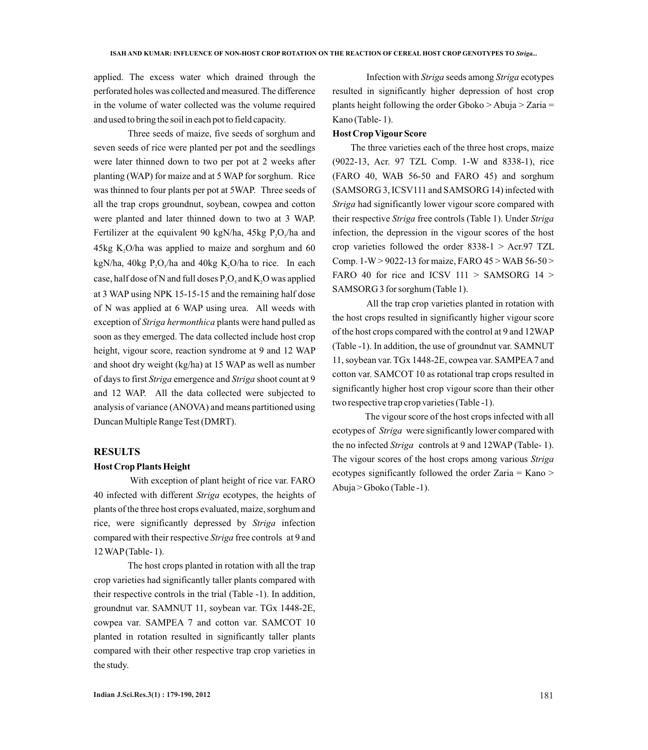applied. The excess water which drained through the perforated holes was collected and measured. The difference in the volume of water collected was the volume required and used to bring the soil in each pot to field capacity.

Three seeds of maize, five seeds of sorghum and seven seeds of rice were planted per pot and the seedlings were later thinned down to two per pot at 2 weeks after planting (WAP) for maize and at 5 WAP for sorghum. Rice was thinned to four plants per pot at 5WAP. Three seeds of all the trap crops groundnut, soybean, cowpea and cotton were planted and later thinned down to two at 3 WAP. Fertilizer at the equivalent 90 kgN/ha, 45kg  $P_2O_3$ /ha and  $45kg K<sub>2</sub>O/ha$  was applied to maize and sorghum and 60 kgN/ha, 40kg P,O<sub>s</sub>/ha and 40kg K,O/ha to rice. In each case, half dose of N and full doses  $P_2O_5$  and  $K_2O$  was applied at 3 WAPusing NPK 15-15-15 and the remaining half dose of N was applied at 6 WAP using urea. All weeds with exception of *Striga hermonthica* plants were hand pulled as soon as they emerged. The data collected include host crop height, vigour score, reaction syndrome at 9 and 12 WAP and shoot dry weight (kg/ha) at 15 WAP as well as number of days to first *Striga* emergence and *Striga* shoot count at 9 and 12 WAP. All the data collected were subjected to analysis of variance (ANOVA) and means partitioned using Duncan Multiple Range Test (DMRT).

#### **RESULTS**

#### **Host Crop Plants Height**

With exception of plant height of rice var. FARO 40 infected with different *Striga* ecotypes, the heights of plants of the three host crops evaluated, maize, sorghum and rice, were significantly depressed by *Striga* infection compared with their respective *Striga* free controls at 9 and 12 WAP(Table- 1).

The host crops planted in rotation with all the trap crop varieties had significantly taller plants compared with their respective controls in the trial (Table -1). In addition, groundnut var. SAMNUT 11, soybean var. TGx 1448-2E, cowpea var. SAMPEA 7 and cotton var. SAMCOT 10 planted in rotation resulted in significantly taller plants compared with their other respective trap crop varieties in the study.

Infection with *Striga* seeds among *Striga* ecotypes resulted in significantly higher depression of host crop plants height following the order Gboko > Abuja > Zaria = Kano (Table- 1).

### **Host Crop VigourScore**

The three varieties each of the three host crops, maize (9022-13, Acr. 97 TZL Comp. 1-W and 8338-1), rice (FARO 40, WAB 56-50 and FARO 45) and sorghum (SAMSORG 3, ICSV111 and SAMSORG 14) infected with *Striga* had significantly lower vigour score compared with their respective *Striga* free controls (Table 1). Under *Striga* infection, the depression in the vigour scores of the host crop varieties followed the order  $8338-1$  > Acr.97 TZL Comp. 1-W > 9022-13 for maize, FARO 45 > WAB 56-50 > FARO 40 for rice and ICSV 111 > SAMSORG 14 > SAMSORG 3 for sorghum (Table 1).

All the trap crop varieties planted in rotation with the host crops resulted in significantly higher vigour score of the host crops compared with the control at 9 and 12WAP (Table -1). In addition, the use of groundnut var. SAMNUT 11, soybean var. TGx 1448-2E, cowpea var. SAMPEA7 and cotton var. SAMCOT 10 as rotational trap crops resulted in significantly higher host crop vigour score than their other two respective trap crop varieties (Table -1).

The vigour score of the host crops infected with all ecotypes of *Striga* were significantly lower compared with the no infected *Striga* controls at 9 and 12WAP(Table- 1). The vigour scores of the host crops among various *Striga* ecotypes significantly followed the order Zaria = Kano > Abuja > Gboko (Table -1).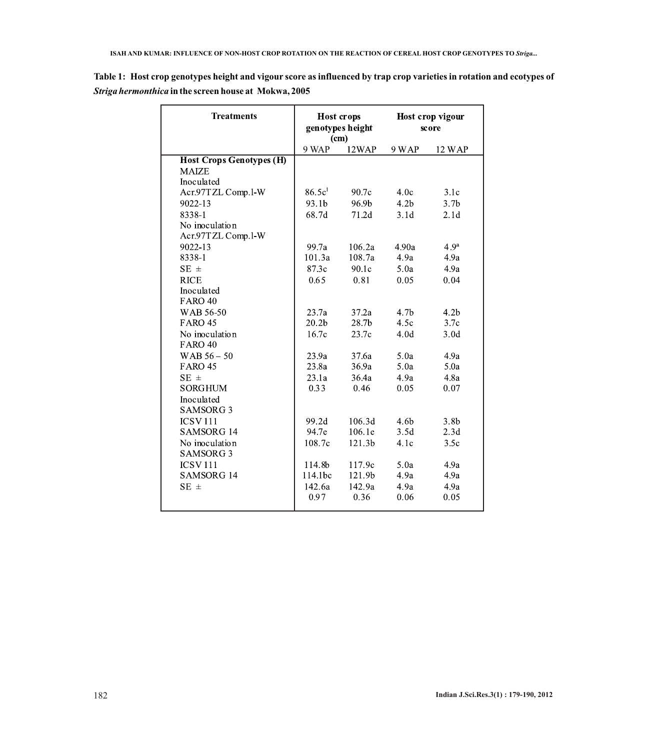| <b>Treatments</b>               | <b>Host crops</b><br>genotypes height<br>(cm) |        | Host crop vigour<br>score |                  |
|---------------------------------|-----------------------------------------------|--------|---------------------------|------------------|
|                                 | 9 WAP                                         | 12WAP  | 9 WAP                     | 12 WAP           |
| <b>Host Crops Genotypes (H)</b> |                                               |        |                           |                  |
| <b>MAIZE</b>                    |                                               |        |                           |                  |
| Inoculated                      |                                               |        |                           |                  |
| Acr.97TZL Comp.1-W              | 86.5c <sup>1</sup>                            | 90.7c  | 4.0c                      | 3.1c             |
| 9022-13                         | 93.1b                                         | 96.9b  | 4.2 <sub>b</sub>          | 3.7 <sub>b</sub> |
| 8338-1                          | 68.7d                                         | 71.2d  | 3.1d                      | 2.1d             |
| No inoculation                  |                                               |        |                           |                  |
| Acr.97TZL Comp.1-W              |                                               |        |                           |                  |
| 9022-13                         | 99.7a                                         | 106.2a | 4.90a                     | 4.9 <sup>a</sup> |
| 8338-1                          | 101.3a                                        | 108.7a | 4.9a                      | 4.9a             |
| $SE \pm$                        | 87.3c                                         | 90.1c  | 5.0a                      | 4.9a             |
| <b>RICE</b>                     | 0.65                                          | 0.81   | 0.05                      | 0.04             |
| Inoculated                      |                                               |        |                           |                  |
| <b>FARO 40</b>                  |                                               |        |                           |                  |
| WAB 56-50                       | 23.7a                                         | 37.2a  | 4.7 <sub>b</sub>          | 4.2 <sub>b</sub> |
| <b>FARO 45</b>                  | 20.2 <sub>b</sub>                             | 28.7b  | 4.5c                      | 3.7c             |
| No inoculation                  | 16.7c                                         | 23.7c  | 4.0d                      | 3.0 <sub>d</sub> |
| <b>FARO 40</b>                  |                                               |        |                           |                  |
| WAB $56 - 50$                   | 23.9a                                         | 37.6a  | 5.0a                      | 4.9a             |
| <b>FARO 45</b>                  | 23.8a                                         | 36.9a  | 5.0a                      | 5.0a             |
| $SE \pm$                        | 23.1a                                         | 36.4a  | 4.9a                      | 4.8a             |
| <b>SORGHUM</b>                  | 0.33                                          | 0.46   | 0.05                      | 0.07             |
| Inoculated                      |                                               |        |                           |                  |
| SAMSORG <sub>3</sub>            |                                               |        |                           |                  |
| <b>ICSV111</b>                  | 99.2d                                         | 106.3d | 4.6 <sub>b</sub>          | 3.8 <sub>b</sub> |
| <b>SAMSORG 14</b>               | 94.7e                                         | 106.1e | 3.5d                      | 2.3d             |
| No inoculation                  | 108.7c                                        | 121.3b | 4.1c                      | 3.5c             |
| <b>SAMSORG 3</b>                |                                               |        |                           |                  |
| <b>ICSV111</b>                  | 114.8b                                        | 117.9c | 5.0a                      | 4.9a             |
| <b>SAMSORG 14</b>               | 114.1bc                                       | 121.9b | 4.9a                      | 4.9a             |
| $SE \pm$                        | 142.6a                                        | 142.9a | 4.9a                      | 4.9a             |
|                                 | 0.97                                          | 0.36   | 0.06                      | 0.05             |

**Table 1: Host crop genotypes height and vigour score as influenced by trap crop varieties in rotation and ecotypes of**  *Striga hermonthica* **in the screen house at Mokwa, 2005**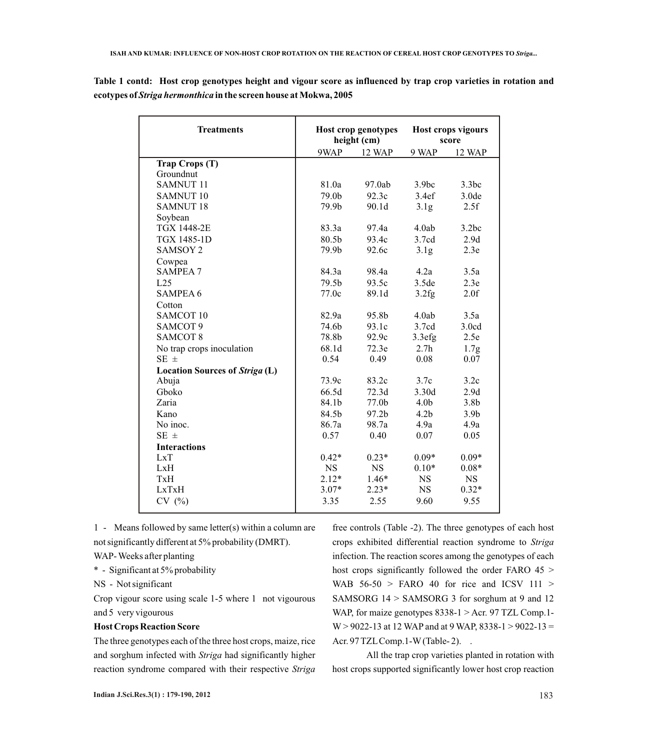**Table 1 contd: Host crop genotypes height and vigour score as influenced by trap crop varieties in rotation and ecotypes of** *Striga hermonthica* **in the screen house at Mokwa, 2005**

| <b>Treatments</b>              | Host crop genotypes<br>height (cm) |           | Host crops vigours<br>score |                  |
|--------------------------------|------------------------------------|-----------|-----------------------------|------------------|
|                                | 9WAP                               | 12 WAP    | 9 WAP                       | 12 WAP           |
| Trap Crops (T)                 |                                    |           |                             |                  |
| Groundnut                      |                                    |           |                             |                  |
| <b>SAMNUT 11</b>               | 81.0a                              | 97.0ab    | 3.9 <sub>bc</sub>           | 3.3bc            |
| <b>SAMNUT 10</b>               | 79.0b                              | 92.3c     | 3.4ef                       | 3.0de            |
| <b>SAMNUT 18</b>               | 79.9b                              | 90.1d     | 3.1 <sub>g</sub>            | 2.5f             |
| Soybean                        |                                    |           |                             |                  |
| <b>TGX 1448-2E</b>             | 83.3a                              | 97.4a     | 4.0ab                       | 3.2bc            |
| <b>TGX 1485-1D</b>             | 80.5b                              | 93.4c     | 3.7cd                       | 2.9d             |
| <b>SAMSOY 2</b>                | 79.9b                              | 92.6c     | 3.1 <sub>g</sub>            | 2.3e             |
| Cowpea                         |                                    |           |                             |                  |
| <b>SAMPEA 7</b>                | 84.3a                              | 98.4a     | 4.2a                        | 3.5a             |
| L25                            | 79.5b                              | 93.5c     | 3.5de                       | 2.3e             |
| <b>SAMPEA 6</b>                | 77.0c                              | 89.1d     | 3.2fg                       | 2.0f             |
| Cotton                         |                                    |           |                             |                  |
| SAMCOT <sub>10</sub>           | 82.9a                              | 95.8b     | 4.0ab                       | 3.5a             |
| SAMCOT 9                       | 74.6b                              | 93.1c     | 3.7cd                       | 3.0cd            |
| <b>SAMCOT 8</b>                | 78.8b                              | 92.9c     | 3.3efg                      | 2.5e             |
| No trap crops inoculation      | 68.1d                              | 72.3e     | 2.7 <sub>h</sub>            | 1.7g             |
| $SE \pm$                       | 0.54                               | 0.49      | 0.08                        | 0.07             |
| Location Sources of Striga (L) |                                    |           |                             |                  |
| Abuja                          | 73.9c                              | 83.2c     | 3.7c                        | 3.2c             |
| Gboko                          | 66.5d                              | 72.3d     | 3.30d                       | 2.9d             |
| Zaria                          | 84.1b                              | 77.0b     | 4.0 <sub>b</sub>            | 3.8 <sub>b</sub> |
| Kano                           | 84.5b                              | 97.2b     | 4.2 <sub>b</sub>            | 3.9 <sub>b</sub> |
| No inoc.                       | 86.7a                              | 98.7a     | 4.9a                        | 4.9a             |
| $SE \pm$                       | 0.57                               | 0.40      | 0.07                        | 0.05             |
| <b>Interactions</b>            |                                    |           |                             |                  |
| LxT                            | $0.42*$                            | $0.23*$   | $0.09*$                     | $0.09*$          |
| LxH                            | <b>NS</b>                          | <b>NS</b> | $0.10*$                     | $0.08*$          |
| TxH                            | $2.12*$                            | $1.46*$   | <b>NS</b>                   | <b>NS</b>        |
| LxTxH                          | $3.07*$                            | $2.23*$   | <b>NS</b>                   | $0.32*$          |
| CV(%)                          | 3.35                               | 2.55      | 9.60                        | 9.55             |
|                                |                                    |           |                             |                  |

1 - Means followed by same letter(s) within a column are not significantly different at 5% probability (DMRT).

WAP- Weeks after planting

\* - Significant at 5% probability

NS - Not significant

Crop vigour score using scale 1-5 where 1 not vigourous and 5 very vigourous

### **Host Crops Reaction Score**

The three genotypes each of the three host crops, maize, rice and sorghum infected with *Striga* had significantly higher reaction syndrome compared with their respective *Striga* 

free controls (Table -2). The three genotypes of each host crops exhibited differential reaction syndrome to *Striga*  infection. The reaction scores among the genotypes of each host crops significantly followed the order FARO 45 > WAB  $56-50$  > FARO 40 for rice and ICSV 111 > SAMSORG 14 > SAMSORG 3 for sorghum at 9 and 12 WAP, for maize genotypes 8338-1 > Acr. 97 TZL Comp.1- $W > 9022 - 13$  at 12 WAP and at 9 WAP, 8338-1 > 9022-13 = Acr. 97 TZL Comp. 1-W (Table-2). .

All the trap crop varieties planted in rotation with host crops supported significantly lower host crop reaction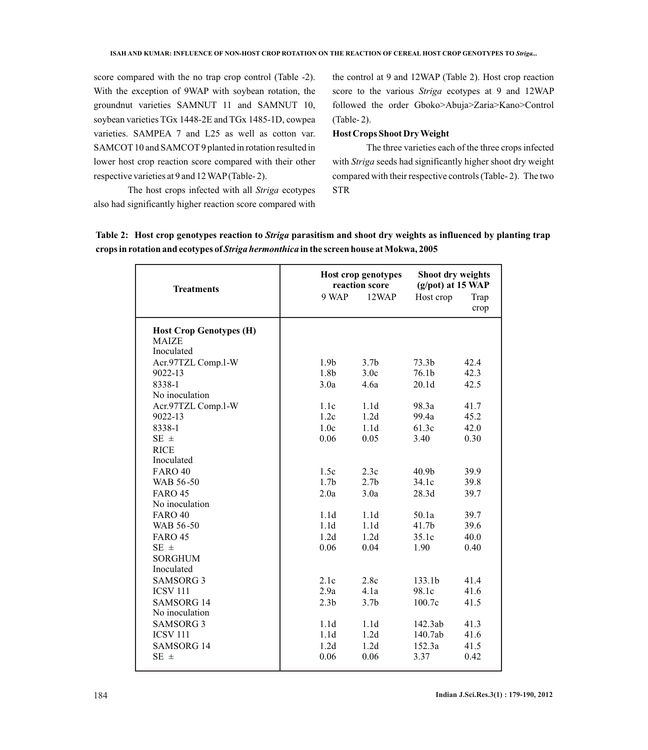score compared with the no trap crop control (Table -2). With the exception of 9WAP with soybean rotation, the groundnut varieties SAMNUT 11 and SAMNUT 10, soybean varieties TGx 1448-2E and TGx 1485-1D, cowpea varieties. SAMPEA 7 and L25 as well as cotton var. SAMCOT 10 and SAMCOT 9 planted in rotation resulted in lower host crop reaction score compared with their other respective varieties at 9 and 12 WAP(Table- 2).

the control at 9 and 12WAP (Table 2). Host crop reaction score to the various *Striga* ecotypes at 9 and 12WAP followed the order Gboko>Abuja>Zaria>Kano>Control (Table- 2).

# **Host Crops Shoot Dry Weight**

The three varieties each of the three crops infected with *Striga* seeds had significantly higher shoot dry weight compared with their respective controls (Table- 2). The two STR

The host crops infected with all *Striga* ecotypes also had significantly higher reaction score compared with

|  |  |                                                                                                |  | Table 2: Host crop genotypes reaction to Striga parasitism and shoot dry weights as influenced by planting trap |
|--|--|------------------------------------------------------------------------------------------------|--|-----------------------------------------------------------------------------------------------------------------|
|  |  | crops in rotation and ecotypes of <i>Striga hermonthica</i> in the screen house at Mokwa, 2005 |  |                                                                                                                 |

| <b>Treatments</b>                                            | Host crop genotypes<br>reaction score |                  | Shoot dry weights<br>(g/pot) at 15 WAP |              |
|--------------------------------------------------------------|---------------------------------------|------------------|----------------------------------------|--------------|
|                                                              | 9 WAP                                 | 12WAP            | Host crop                              | Trap<br>crop |
| <b>Host Crop Genotypes (H)</b><br><b>MAIZE</b><br>Inoculated |                                       |                  |                                        |              |
| Acr.97TZL Comp.1-W                                           | 1.9 <sub>b</sub>                      | 3.7 <sub>b</sub> | 73.3 <sub>b</sub>                      | 42.4         |
| 9022-13                                                      | 1.8b                                  | 3.0 <sub>c</sub> | 76.1b                                  | 42.3         |
| 8338-1<br>No inoculation                                     | 3.0a                                  | 4.6a             | 20.1 <sub>d</sub>                      | 42.5         |
| Acr.97TZL Comp.1-W<br>9022-13                                | 1.1c<br>1.2c                          | 1.1d<br>1.2d     | 98.3a<br>99.4a                         | 41.7<br>45.2 |
| 8338-1                                                       | 1.0 <sub>c</sub>                      | 1.1 <sub>d</sub> | 61.3c                                  | 42.0         |
| $SE \pm$                                                     | 0.06                                  | 0.05             | 3.40                                   | 0.30         |
| <b>RICE</b><br>Inoculated                                    |                                       |                  |                                        |              |
| <b>FARO 40</b>                                               | 1.5c                                  | 2.3c             | 40.9 <sub>b</sub>                      | 39.9         |
| WAB 56-50                                                    | 1.7 <sub>b</sub>                      | 2.7 <sub>b</sub> | 34.1c                                  | 39.8         |
| <b>FARO 45</b>                                               | 2.0a                                  | 3.0a             | 28.3d                                  | 39.7         |
| No inoculation                                               |                                       |                  |                                        |              |
| <b>FARO 40</b>                                               | 1.1d                                  | 1.1d             | 50.1a                                  | 39.7         |
| WAB 56-50                                                    | 1.1d                                  | 1.1d             | 41.7 <sub>b</sub>                      | 39.6         |
| <b>FARO 45</b>                                               | 1.2d                                  | 1.2d             | 35.1c                                  | 40.0         |
| $SE \pm$                                                     | 0.06                                  | 0.04             | 1.90                                   | 0.40         |
| <b>SORGHUM</b><br>Inoculated                                 |                                       |                  |                                        |              |
| <b>SAMSORG 3</b>                                             | 2.1c                                  | 2.8c             | 133.1 <sub>b</sub>                     | 41.4         |
| <b>ICSV 111</b>                                              | 2.9a                                  | 4.1a             | 98.1c                                  | 41.6         |
| <b>SAMSORG 14</b>                                            | 2.3 <sub>b</sub>                      | 3.7 <sub>b</sub> | 100.7c                                 | 41.5         |
| No inoculation                                               |                                       |                  |                                        |              |
| <b>SAMSORG 3</b>                                             | 1.1d                                  | 1.1d             | 142.3ab                                | 41.3         |
| <b>ICSV 111</b>                                              | 1.1d                                  | 1.2d             | 140.7ab                                | 41.6         |
| <b>SAMSORG 14</b>                                            | 1.2d                                  | 1.2d             | 152.3a                                 | 41.5         |
| $SE \pm$                                                     | 0.06                                  | 0.06             | 3.37                                   | 0.42         |
|                                                              |                                       |                  |                                        |              |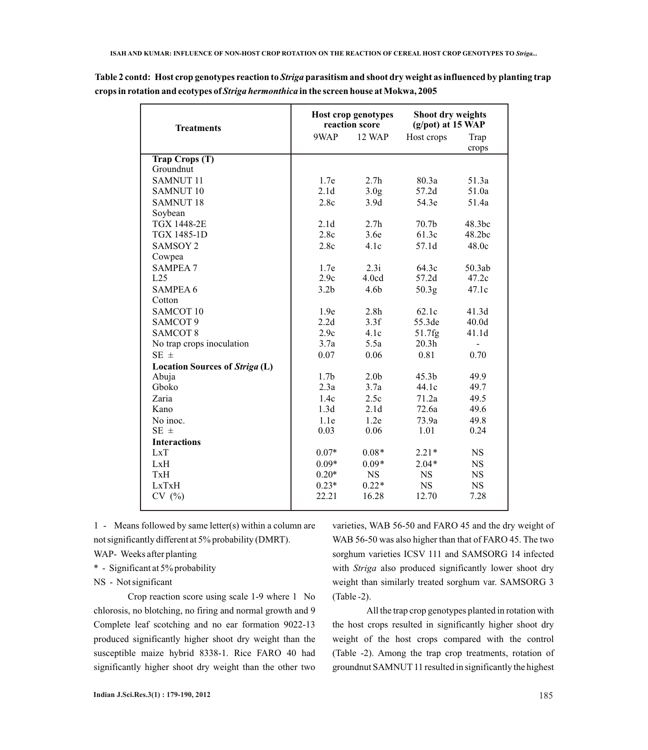| <b>Treatments</b><br>9WAP<br>12 WAP<br>Host crops<br>Trap<br>crops<br><b>Trap Crops (T)</b><br>Groundnut<br><b>SAMNUT 11</b><br>1.7e<br>2.7 <sub>h</sub><br>80.3a<br>51.3a<br>2.1 <sub>d</sub><br>SAMNUT <sub>10</sub><br>3.0 <sub>g</sub><br>57.2d<br>51.0a<br><b>SAMNUT 18</b><br>2.8c<br>3.9d<br>54.3e<br>51.4a<br>Soybean | Shoot dry weights<br>$(g$ /pot) at 15 WAP |  |
|-------------------------------------------------------------------------------------------------------------------------------------------------------------------------------------------------------------------------------------------------------------------------------------------------------------------------------|-------------------------------------------|--|
|                                                                                                                                                                                                                                                                                                                               |                                           |  |
|                                                                                                                                                                                                                                                                                                                               |                                           |  |
|                                                                                                                                                                                                                                                                                                                               |                                           |  |
|                                                                                                                                                                                                                                                                                                                               |                                           |  |
|                                                                                                                                                                                                                                                                                                                               |                                           |  |
|                                                                                                                                                                                                                                                                                                                               |                                           |  |
|                                                                                                                                                                                                                                                                                                                               |                                           |  |
|                                                                                                                                                                                                                                                                                                                               |                                           |  |
| <b>TGX 1448-2E</b><br>2.1 <sub>d</sub><br>2.7 <sub>h</sub><br>70.7 <sub>b</sub><br>48.3bc                                                                                                                                                                                                                                     |                                           |  |
| <b>TGX 1485-1D</b><br>2.8c<br>3.6e<br>61.3c<br>48.2bc                                                                                                                                                                                                                                                                         |                                           |  |
| <b>SAMSOY 2</b><br>2.8c<br>4.1c<br>57.1d<br>48.0c                                                                                                                                                                                                                                                                             |                                           |  |
| Cowpea                                                                                                                                                                                                                                                                                                                        |                                           |  |
| <b>SAMPEA 7</b><br>1.7e<br>2.3i<br>64.3c<br>50.3ab                                                                                                                                                                                                                                                                            |                                           |  |
| 2.9c<br>4.0cd<br>57.2d<br>47.2c<br>L25                                                                                                                                                                                                                                                                                        |                                           |  |
| <b>SAMPEA 6</b><br>3.2 <sub>b</sub><br>4.6 <sub>b</sub><br>50.3g<br>47.1c                                                                                                                                                                                                                                                     |                                           |  |
| Cotton                                                                                                                                                                                                                                                                                                                        |                                           |  |
| SAMCOT <sub>10</sub><br>1.9e<br>2.8 <sub>h</sub><br>62.1c<br>41.3d                                                                                                                                                                                                                                                            |                                           |  |
| SAMCOT 9<br>2.2d<br>3.3f<br>55.3de<br>40.0 <sub>d</sub>                                                                                                                                                                                                                                                                       |                                           |  |
| <b>SAMCOT 8</b><br>2.9c<br>4.1c<br>41.1d<br>51.7fg                                                                                                                                                                                                                                                                            |                                           |  |
| 20.3 <sub>h</sub><br>3.7a<br>5.5a<br>No trap crops inoculation                                                                                                                                                                                                                                                                |                                           |  |
| $SE \pm$<br>0.81<br>0.07<br>0.06<br>0.70                                                                                                                                                                                                                                                                                      |                                           |  |
| <b>Location Sources of Striga (L)</b>                                                                                                                                                                                                                                                                                         |                                           |  |
| 1.7 <sub>b</sub><br>2.0 <sub>b</sub><br>Abuja<br>45.3 <sub>b</sub><br>49.9                                                                                                                                                                                                                                                    |                                           |  |
| Gboko<br>2.3a<br>3.7a<br>44.1c<br>49.7                                                                                                                                                                                                                                                                                        |                                           |  |
| Zaria<br>1.4c<br>71.2a<br>49.5<br>2.5c                                                                                                                                                                                                                                                                                        |                                           |  |
| 1.3d<br>72.6a<br>Kano<br>2.1d<br>49.6                                                                                                                                                                                                                                                                                         |                                           |  |
| No inoc.<br>1.1e<br>1.2e<br>49.8<br>73.9a                                                                                                                                                                                                                                                                                     |                                           |  |
| $SE \pm$<br>0.03<br>0.06<br>1.01<br>0.24                                                                                                                                                                                                                                                                                      |                                           |  |
| <b>Interactions</b>                                                                                                                                                                                                                                                                                                           |                                           |  |
| $0.07*$<br>$0.08*$<br>$2.21*$<br><b>NS</b><br>LxT                                                                                                                                                                                                                                                                             |                                           |  |
| $0.09*$<br>$0.09*$<br>$2.04*$<br><b>NS</b><br>LxH                                                                                                                                                                                                                                                                             |                                           |  |
| $0.20*$<br><b>NS</b><br><b>NS</b><br>$_{\rm NS}$<br><b>TxH</b>                                                                                                                                                                                                                                                                |                                           |  |
| $0.22*$<br>LxTxH<br>$0.23*$<br><b>NS</b><br><b>NS</b>                                                                                                                                                                                                                                                                         |                                           |  |
| CV(%)<br>22.21<br>16.28<br>12.70<br>7.28                                                                                                                                                                                                                                                                                      |                                           |  |

**Table 2 contd: Host crop genotypes reaction to** *Striga***parasitism and shoot dry weight as influenced by planting trap crops in rotation and ecotypes of** *Striga hermonthica* **in the screen house at Mokwa, 2005**

1 - Means followed by same letter(s) within a column are not significantly different at 5% probability (DMRT).

WAP- Weeks after planting

\* - Significant at 5% probability

NS - Not significant

Crop reaction score using scale 1-9 where 1 No chlorosis, no blotching, no firing and normal growth and 9 Complete leaf scotching and no ear formation 9022-13 produced significantly higher shoot dry weight than the susceptible maize hybrid 8338-1. Rice FARO 40 had significantly higher shoot dry weight than the other two

varieties, WAB 56-50 and FARO 45 and the dry weight of WAB 56-50 was also higher than that of FARO 45. The two sorghum varieties ICSV 111 and SAMSORG 14 infected with *Striga* also produced significantly lower shoot dry weight than similarly treated sorghum var. SAMSORG 3 (Table -2).

All the trap crop genotypes planted in rotation with the host crops resulted in significantly higher shoot dry weight of the host crops compared with the control (Table -2). Among the trap crop treatments, rotation of groundnut SAMNUT 11 resulted in significantly the highest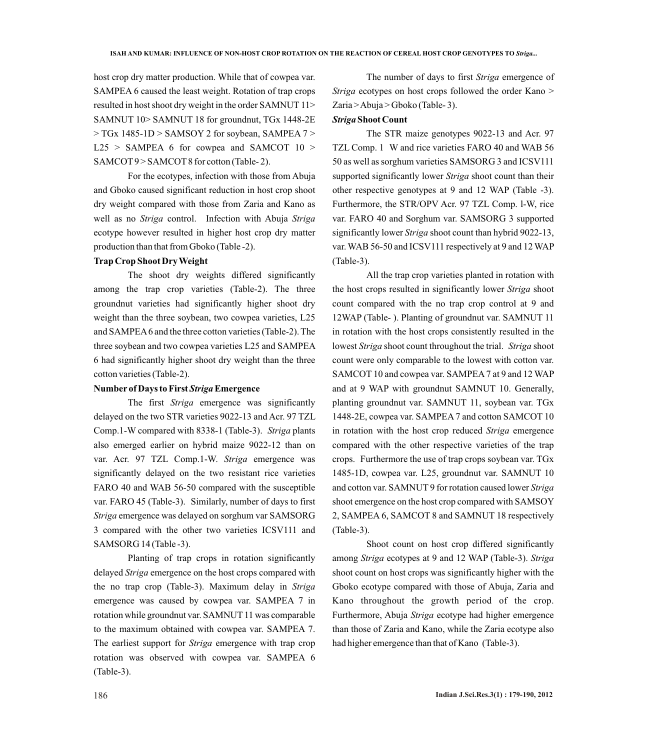host crop dry matter production. While that of cowpea var. SAMPEA 6 caused the least weight. Rotation of trap crops resulted in host shoot dry weight in the order SAMNUT 11> SAMNUT 10> SAMNUT 18 for groundnut, TGx 1448-2E > TGx 1485-1D > SAMSOY 2 for soybean, SAMPEA 7 >  $L25$  > SAMPEA 6 for cowpea and SAMCOT 10 > SAMCOT9 > SAMCOT8 for cotton (Table-2).

For the ecotypes, infection with those from Abuja and Gboko caused significant reduction in host crop shoot dry weight compared with those from Zaria and Kano as well as no *Striga* control. Infection with Abuja *Striga* ecotype however resulted in higher host crop dry matter production than that from Gboko (Table -2).

# **Trap Crop Shoot Dry Weight**

The shoot dry weights differed significantly among the trap crop varieties (Table-2). The three groundnut varieties had significantly higher shoot dry weight than the three soybean, two cowpea varieties, L25 and SAMPEA6 and the three cotton varieties (Table-2). The three soybean and two cowpea varieties L25 and SAMPEA 6 had significantly higher shoot dry weight than the three cotton varieties (Table-2).

#### **Number of Days to First** *Striga***Emergence**

The first *Striga* emergence was significantly delayed on the two STR varieties 9022-13 and Acr. 97 TZL Comp.1-W compared with 8338-1 (Table-3). *Striga* plants also emerged earlier on hybrid maize 9022-12 than on var. Acr. 97 TZL Comp.1-W. *Striga* emergence was significantly delayed on the two resistant rice varieties FARO 40 and WAB 56-50 compared with the susceptible var. FARO 45 (Table-3). Similarly, number of days to first *Striga* emergence was delayed on sorghum var SAMSORG 3 compared with the other two varieties ICSV111 and SAMSORG 14 (Table -3).

Planting of trap crops in rotation significantly delayed *Striga* emergence on the host crops compared with the no trap crop (Table-3). Maximum delay in *Striga* emergence was caused by cowpea var. SAMPEA 7 in rotation while groundnut var. SAMNUT 11 was comparable to the maximum obtained with cowpea var. SAMPEA 7. The earliest support for *Striga* emergence with trap crop rotation was observed with cowpea var. SAMPEA 6 (Table-3).

The number of days to first *Striga* emergence of *Striga* ecotypes on host crops followed the order Kano > Zaria > Abuja > Gboko (Table- 3).

# *Striga***Shoot Count**

The STR maize genotypes 9022-13 and Acr. 97 TZL Comp. 1 W and rice varieties FARO 40 and WAB 56 50 as well as sorghum varieties SAMSORG 3 and ICSV111 supported significantly lower *Striga* shoot count than their other respective genotypes at 9 and 12 WAP (Table -3). Furthermore, the STR/OPV Acr. 97 TZL Comp. l-W, rice var. FARO 40 and Sorghum var. SAMSORG 3 supported significantly lower *Striga* shoot count than hybrid 9022-13, var. WAB 56-50 and ICSV111 respectively at 9 and 12 WAP (Table-3).

All the trap crop varieties planted in rotation with the host crops resulted in significantly lower *Striga* shoot count compared with the no trap crop control at 9 and 12WAP (Table- ). Planting of groundnut var. SAMNUT 11 in rotation with the host crops consistently resulted in the lowest *Striga* shoot count throughout the trial. *Striga* shoot count were only comparable to the lowest with cotton var. SAMCOT 10 and cowpea var. SAMPEA 7 at 9 and 12 WAP and at 9 WAP with groundnut SAMNUT 10. Generally, planting groundnut var. SAMNUT 11, soybean var. TGx 1448-2E, cowpea var. SAMPEA7 and cotton SAMCOT 10 in rotation with the host crop reduced *Striga* emergence compared with the other respective varieties of the trap crops. Furthermore the use of trap crops soybean var. TGx 1485-1D, cowpea var. L25, groundnut var. SAMNUT 10 and cotton var. SAMNUT 9 for rotation caused lower *Striga* shoot emergence on the host crop compared with SAMSOY 2, SAMPEA 6, SAMCOT 8 and SAMNUT 18 respectively (Table-3).

Shoot count on host crop differed significantly among *Striga* ecotypes at 9 and 12 WAP (Table-3). *Striga*  shoot count on host crops was significantly higher with the Gboko ecotype compared with those of Abuja, Zaria and Kano throughout the growth period of the crop. Furthermore, Abuja *Striga* ecotype had higher emergence than those of Zaria and Kano, while the Zaria ecotype also had higher emergence than that of Kano (Table-3).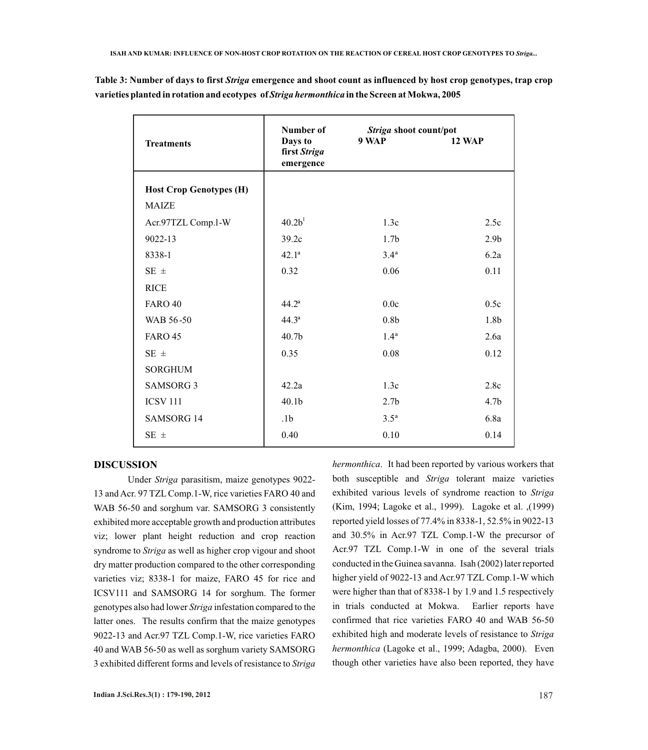| <b>Treatments</b>              | Number of<br>Days to<br>first Striga<br>emergence | Striga shoot count/pot<br>9 WAP | <b>12 WAP</b>    |
|--------------------------------|---------------------------------------------------|---------------------------------|------------------|
| <b>Host Crop Genotypes (H)</b> |                                                   |                                 |                  |
| <b>MAIZE</b>                   |                                                   |                                 |                  |
| Acr.97TZL Comp.l-W             | 40.2 <sup>1</sup>                                 | 1.3c                            | 2.5c             |
| 9022-13                        | 39.2c                                             | 1.7 <sub>b</sub>                | 2.9 <sub>b</sub> |
| 8338-1                         | 42.1 <sup>a</sup>                                 | 3.4 <sup>a</sup>                | 6.2a             |
| $SE \pm$                       | 0.32                                              | 0.06                            | 0.11             |
| <b>RICE</b>                    |                                                   |                                 |                  |
| <b>FARO 40</b>                 | $44.2^{\rm a}$                                    | 0.0c                            | 0.5c             |
| WAB 56-50                      | 44.3 <sup>a</sup>                                 | 0.8 <sub>b</sub>                | 1.8b             |
| <b>FARO 45</b>                 | 40.7 <sub>b</sub>                                 | 1.4 <sup>a</sup>                | 2.6a             |
| $SE \pm$                       | 0.35                                              | 0.08                            | 0.12             |
| <b>SORGHUM</b>                 |                                                   |                                 |                  |
| <b>SAMSORG 3</b>               | 42.2a                                             | 1.3c                            | 2.8c             |
| <b>ICSV 111</b>                | 40.1 <sub>b</sub>                                 | 2.7 <sub>b</sub>                | 4.7 <sub>b</sub> |
| <b>SAMSORG 14</b>              | .1 <sub>b</sub>                                   | 3.5 <sup>a</sup>                | 6.8a             |
| $SE \pm$                       | 0.40                                              | 0.10                            | 0.14             |

**Table 3: Number of days to first** *Striga* **emergence and shoot count as influenced by host crop genotypes, trap crop varieties planted in rotation and ecotypes of** *Strigahermonthica* **in the Screen at Mokwa, 2005**

### **DISCUSSION**

Under *Striga* parasitism, maize genotypes 9022- 13 and Acr. 97 TZLComp.1-W, rice varieties FARO 40 and WAB 56-50 and sorghum var. SAMSORG 3 consistently exhibited more acceptable growth and production attributes viz; lower plant height reduction and crop reaction syndrome to *Striga* as well as higher crop vigour and shoot dry matter production compared to the other corresponding varieties viz; 8338-1 for maize, FARO 45 for rice and ICSV111 and SAMSORG 14 for sorghum. The former genotypes also had lower *Striga* infestation compared to the latter ones. The results confirm that the maize genotypes 9022-13 and Acr.97 TZL Comp.1-W, rice varieties FARO 40 and WAB 56-50 as well as sorghum variety SAMSORG 3 exhibited different forms and levels of resistance to *Striga* 

*hermonthica*. It had been reported by various workers that both susceptible and *Striga* tolerant maize varieties exhibited various levels of syndrome reaction to *Striga* (Kim, 1994; Lagoke et al., 1999). Lagoke et al. ,(1999) reported yield losses of 77.4% in 8338-1, 52.5% in 9022-13 and 30.5% in Acr.97 TZL Comp.1-W the precursor of Acr.97 TZL Comp.1-W in one of the several trials conducted in the Guinea savanna. Isah (2002) later reported higher yield of 9022-13 and Acr.97 TZL Comp.1-W which were higher than that of 8338-1 by 1.9 and 1.5 respectively in trials conducted at Mokwa. Earlier reports have confirmed that rice varieties FARO 40 and WAB 56-50 exhibited high and moderate levels of resistance to *Striga hermonthica* (Lagoke et al., 1999; Adagba, 2000). Even though other varieties have also been reported, they have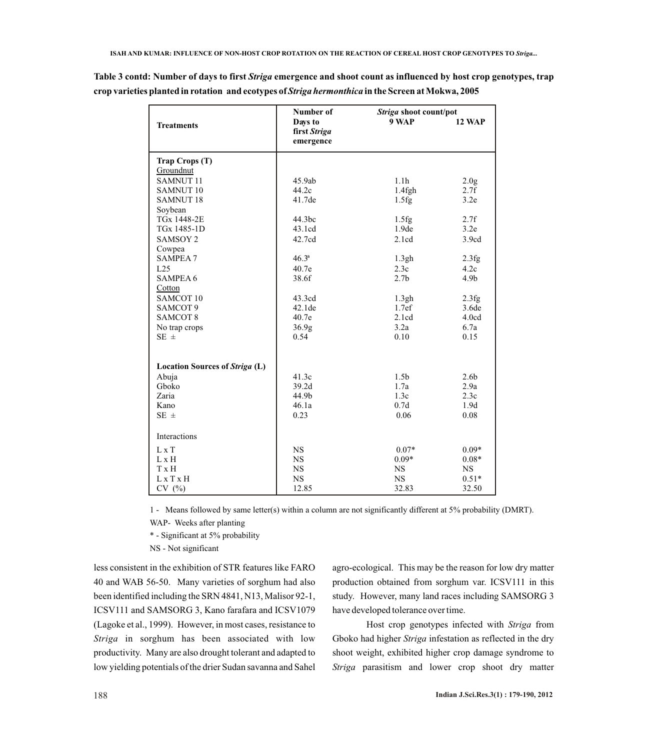|                                       | Number of                            | Striga shoot count/pot |                          |  |
|---------------------------------------|--------------------------------------|------------------------|--------------------------|--|
| <b>Treatments</b>                     | Days to<br>first Striga<br>emergence | 9 WAP                  | <b>12 WAP</b>            |  |
| Trap Crops (T)                        |                                      |                        |                          |  |
| Groundnut<br><b>SAMNUT11</b>          |                                      |                        |                          |  |
| <b>SAMNUT 10</b>                      | 45.9ab<br>44.2c                      | 1.1 <sub>h</sub>       | 2.0 <sub>g</sub><br>2.7f |  |
| <b>SAMNUT18</b>                       | 41.7de                               | $1.4$ fgh<br>1.5fg     | 3.2e                     |  |
| Soybean                               |                                      |                        |                          |  |
| TGx 1448-2E                           | 44.3bc                               | 1.5fg                  | 2.7f                     |  |
| TGx 1485-1D                           | 43.1cd                               | 1.9de                  | 3.2e                     |  |
| SAMSOY <sub>2</sub>                   | 42.7cd                               | 2.1cd                  | 3.9cd                    |  |
| Cowpea                                |                                      |                        |                          |  |
| <b>SAMPEA 7</b>                       | $46.3^{a}$                           | 1.3gh                  | 2.3fg                    |  |
| L25                                   | 40.7e                                | 2.3c                   | 4.2c                     |  |
| <b>SAMPEA 6</b>                       | 38.6f                                | 2.7 <sub>b</sub>       | 4.9 <sub>b</sub>         |  |
| Cotton                                |                                      |                        |                          |  |
| SAMCOT <sub>10</sub>                  | 43.3cd                               | 1.3gh                  | 2.3fg                    |  |
| SAMCOT <sub>9</sub>                   | 42.1de                               | 1.7ef                  | 3.6de                    |  |
| SAMCOT <sub>8</sub>                   | 40.7e                                | 2.1cd                  | 4.0cd                    |  |
| No trap crops                         | 36.9 <sub>g</sub>                    | 3.2a                   | 6.7a                     |  |
| SE $\pm$                              | 0.54                                 | 0.10                   | 0.15                     |  |
| <b>Location Sources of Striga (L)</b> |                                      |                        |                          |  |
| Abuja                                 | 41.3c                                | 1.5 <sub>b</sub>       | 2.6 <sub>b</sub>         |  |
| Gboko                                 | 39.2d                                | 1.7a                   | 2.9a                     |  |
| Zaria                                 | 44.9b                                | 1.3c                   | 2.3c                     |  |
| Kano                                  | 46.1a                                | 0.7d                   | 1.9d                     |  |
| $SE \pm$                              | 0.23                                 | 0.06                   | 0.08                     |  |
| Interactions                          |                                      |                        |                          |  |
| $L \times T$                          | <b>NS</b>                            | $0.07*$                | $0.09*$                  |  |
| $L \times H$                          | <b>NS</b>                            | $0.09*$                | $0.08*$                  |  |
| T x H                                 | <b>NS</b>                            | <b>NS</b>              | <b>NS</b>                |  |
| L x T x H                             | <b>NS</b>                            | <b>NS</b>              | $0.51*$                  |  |
| CV(%)                                 | 12.85                                | 32.83                  | 32.50                    |  |

**Table 3 contd: Number of days to first** *Striga* **emergence and shoot count as influenced by host crop genotypes, trap crop varieties planted in rotation and ecotypes of** *Strigahermonthica* **in the Screen at Mokwa, 2005**

> 1 - Means followed by same letter(s) within a column are not significantly different at 5% probability (DMRT). WAP- Weeks after planting

\* - Significant at 5% probability

NS - Not significant

less consistent in the exhibition of STR features like FARO 40 and WAB 56-50. Many varieties of sorghum had also been identified including the SRN 4841, N13, Malisor 92-1, ICSV111 and SAMSORG 3, Kano farafara and ICSV1079 (Lagoke et al., 1999). However, in most cases, resistance to *Striga* in sorghum has been associated with low productivity. Many are also drought tolerant and adapted to low yielding potentials of the drier Sudan savanna and Sahel

agro-ecological. This may be the reason for low dry matter production obtained from sorghum var. ICSV111 in this study. However, many land races including SAMSORG 3 have developed tolerance over time.

Host crop genotypes infected with *Striga* from Gboko had higher *Striga* infestation as reflected in the dry shoot weight, exhibited higher crop damage syndrome to *Striga* parasitism and lower crop shoot dry matter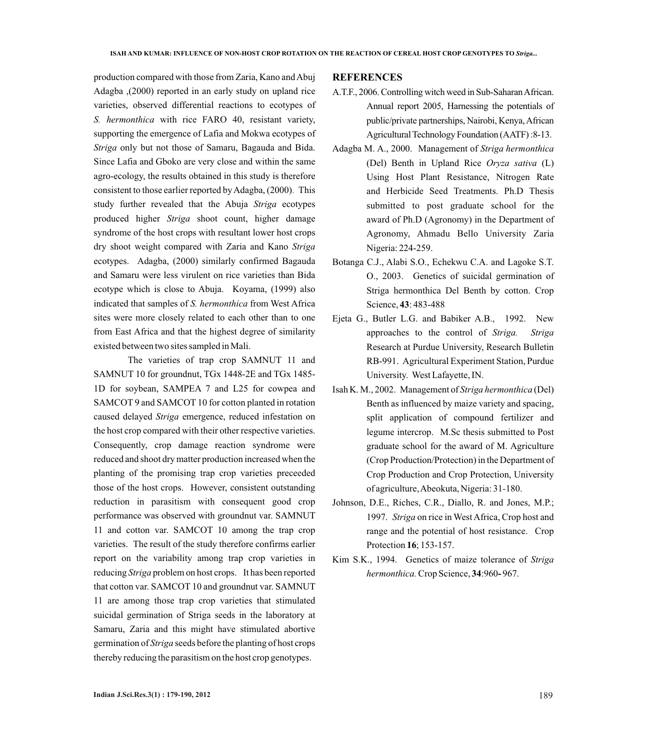production compared with those from Zaria, Kano and Abuj Adagba ,(2000) reported in an early study on upland rice varieties, observed differential reactions to ecotypes of *S. hermonthica* with rice FARO 40, resistant variety, supporting the emergence of Lafia and Mokwa ecotypes of *Striga* only but not those of Samaru, Bagauda and Bida. Since Lafia and Gboko are very close and within the same agro-ecology, the results obtained in this study is therefore consistent to those earlier reported by Adagba, (2000). This study further revealed that the Abuja *Striga* ecotypes produced higher *Striga* shoot count, higher damage syndrome of the host crops with resultant lower host crops dry shoot weight compared with Zaria and Kano *Striga* ecotypes. Adagba, (2000) similarly confirmed Bagauda and Samaru were less virulent on rice varieties than Bida ecotype which is close to Abuja. Koyama, (1999) also indicated that samples of *S. hermonthica* from West Africa sites were more closely related to each other than to one from East Africa and that the highest degree of similarity existed between two sites sampled in Mali.

The varieties of trap crop SAMNUT 11 and SAMNUT 10 for groundnut, TGx 1448-2E and TGx 1485- 1D for soybean, SAMPEA 7 and L25 for cowpea and SAMCOT 9 and SAMCOT 10 for cotton planted in rotation caused delayed *Striga* emergence, reduced infestation on the host crop compared with their other respective varieties. Consequently, crop damage reaction syndrome were reduced and shoot dry matter production increased when the planting of the promising trap crop varieties preceeded those of the host crops. However, consistent outstanding reduction in parasitism with consequent good crop performance was observed with groundnut var. SAMNUT 11 and cotton var. SAMCOT 10 among the trap crop varieties. The result of the study therefore confirms earlier report on the variability among trap crop varieties in reducing *Striga* problem on host crops. It has been reported that cotton var. SAMCOT 10 and groundnut var. SAMNUT 11 are among those trap crop varieties that stimulated suicidal germination of Striga seeds in the laboratory at Samaru, Zaria and this might have stimulated abortive germination of *Striga* seeds before the planting of host crops thereby reducing the parasitism on the host crop genotypes.

### **REFERENCES**

- A.T.F., 2006. Controlling witch weed in Sub-Saharan African. Annual report 2005, Harnessing the potentials of public/private partnerships, Nairobi, Kenya, African Agricultural Technology Foundation (AATF) :8-13.
- Adagba M. A., 2000. Management of *Striga hermonthica* (Del) Benth in Upland Rice *Oryza sativa* (L) Using Host Plant Resistance, Nitrogen Rate and Herbicide Seed Treatments. Ph.D Thesis submitted to post graduate school for the award of Ph.D (Agronomy) in the Department of Agronomy, Ahmadu Bello University Zaria Nigeria: 224-259.
- Botanga C.J., Alabi S.O., Echekwu C.A. and Lagoke S.T. O., 2003. Genetics of suicidal germination of Striga hermonthica Del Benth by cotton. Crop Science, **43**: 483-488
- Ejeta G., Butler L.G. and Babiker A.B., 1992. New approaches to the control of *Striga. Striga* Research at Purdue University, Research Bulletin RB-991. Agricultural Experiment Station, Purdue University. West Lafayette, IN.
- Isah K. M., 2002. Management of *Striga hermonthica* (Del) Benth as influenced by maize variety and spacing, split application of compound fertilizer and legume intercrop. M.Sc thesis submitted to Post graduate school for the award of M. Agriculture (Crop Production/Protection) in the Department of Crop Production and Crop Protection, University of agriculture, Abeokuta, Nigeria: 31*-*180.
- Johnson, D.E., Riches, C.R., Diallo, R. and Jones, M.P.; 1997. *Striga* on rice in West Africa, Crop host and range and the potential of host resistance. Crop Protection **16**; 153-157.
- Kim S.K., 1994. Genetics of maize tolerance of *Striga hermonthica.* Crop Science, **34**:960**-** 967.